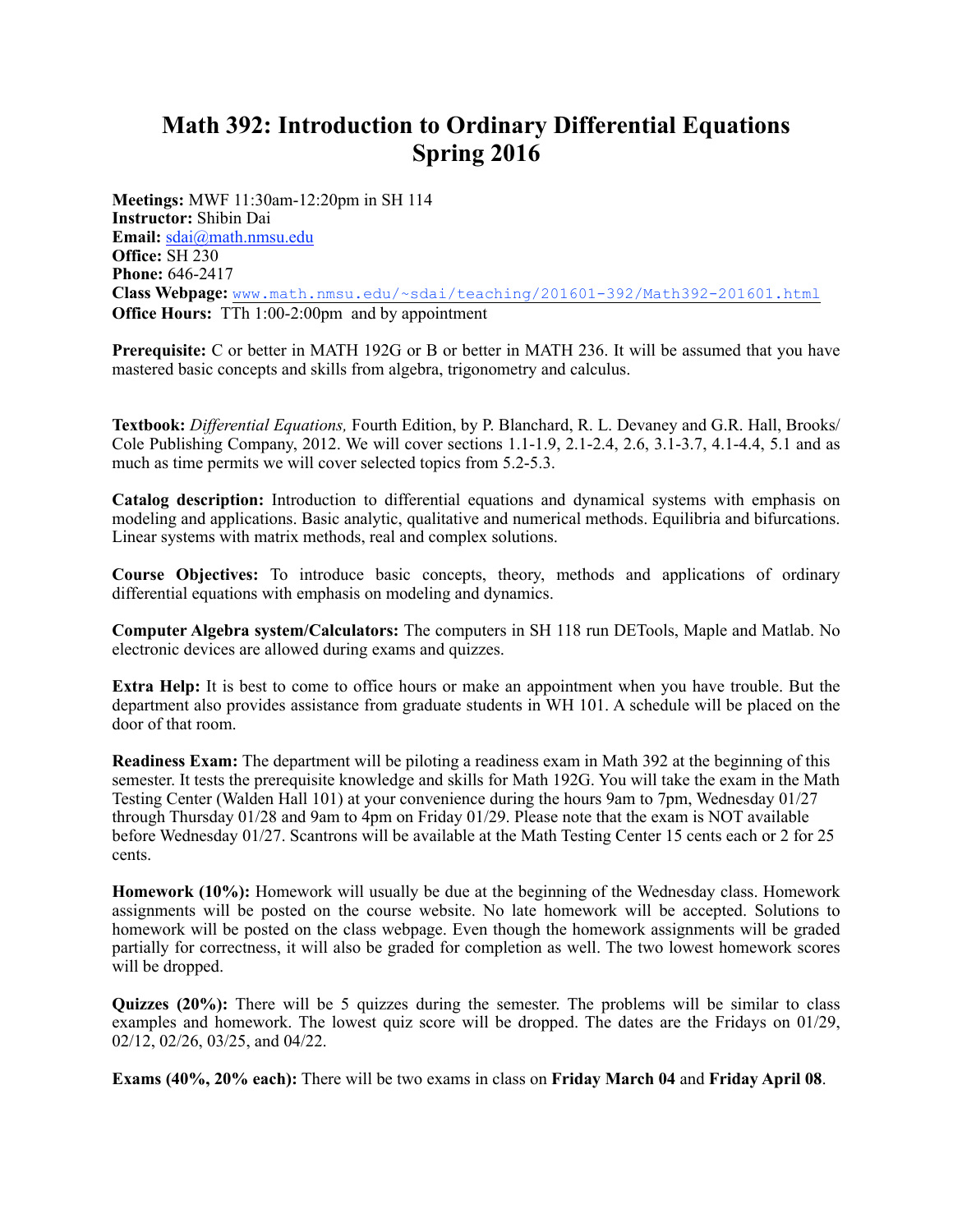## **Math 392: Introduction to Ordinary Differential Equations Spring 2016**

**Meetings:** MWF 11:30am-12:20pm in SH 114 **Instructor:** Shibin Dai **Email:** [sdai@math.nmsu.edu](mailto:sdai@math.nmsu.edu) **Office:** SH 230 **Phone:** 646-2417 **Class Webpage:** [www.math.nmsu.edu/~sdai/teaching/201601-392/Math392-201601.html](http://www.math.nmsu.edu/~sdai/teaching/201601-392/Math392-201601.html) **Office Hours:** TTh 1:00-2:00pm and by appointment

**Prerequisite:** C or better in MATH 192G or B or better in MATH 236. It will be assumed that you have mastered basic concepts and skills from algebra, trigonometry and calculus.

**Textbook:** *Differential Equations,* Fourth Edition, by P. Blanchard, R. L. Devaney and G.R. Hall, Brooks/ Cole Publishing Company, 2012. We will cover sections  $1.1-1.9$ ,  $2.1-2.4$ ,  $2.6$ ,  $3.1-3.7$ ,  $4.1-4.4$ ,  $5.1$  and as much as time permits we will cover selected topics from 5.2-5.3.

**Catalog description:** Introduction to differential equations and dynamical systems with emphasis on modeling and applications. Basic analytic, qualitative and numerical methods. Equilibria and bifurcations. Linear systems with matrix methods, real and complex solutions.

**Course Objectives:** To introduce basic concepts, theory, methods and applications of ordinary differential equations with emphasis on modeling and dynamics.

**Computer Algebra system/Calculators:** The computers in SH 118 run DETools, Maple and Matlab. No electronic devices are allowed during exams and quizzes.

**Extra Help:** It is best to come to office hours or make an appointment when you have trouble. But the department also provides assistance from graduate students in WH 101. A schedule will be placed on the door of that room.

**Readiness Exam:** The department will be piloting a readiness exam in Math 392 at the beginning of this semester. It tests the prerequisite knowledge and skills for Math 192G. You will take the exam in the Math Testing Center (Walden Hall 101) at your convenience during the hours 9am to 7pm, Wednesday 01/27 through Thursday 01/28 and 9am to 4pm on Friday 01/29. Please note that the exam is NOT available before Wednesday 01/27. Scantrons will be available at the Math Testing Center 15 cents each or 2 for 25 cents.

**Homework (10%):** Homework will usually be due at the beginning of the Wednesday class. Homework assignments will be posted on the course website. No late homework will be accepted. Solutions to homework will be posted on the class webpage. Even though the homework assignments will be graded partially for correctness, it will also be graded for completion as well. The two lowest homework scores will be dropped.

**Quizzes (20%):** There will be 5 quizzes during the semester. The problems will be similar to class examples and homework. The lowest quiz score will be dropped. The dates are the Fridays on 01/29, 02/12, 02/26, 03/25, and 04/22.

**Exams (40%, 20% each):** There will be two exams in class on **Friday March 04** and **Friday April 08**.